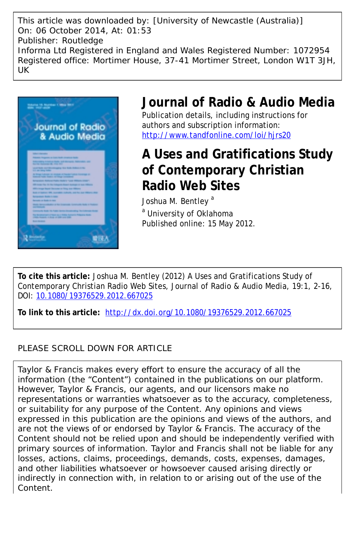This article was downloaded by: [University of Newcastle (Australia)] On: 06 October 2014, At: 01:53 Publisher: Routledge Informa Ltd Registered in England and Wales Registered Number: 1072954 Registered office: Mortimer House, 37-41 Mortimer Street, London W1T 3JH, UK



# **Journal of Radio & Audio Media**

Publication details, including instructions for authors and subscription information: <http://www.tandfonline.com/loi/hjrs20>

# **A Uses and Gratifications Study of Contemporary Christian Radio Web Sites**

Joshua M. Bentley<sup>a</sup> <sup>a</sup> University of Oklahoma Published online: 15 May 2012.

**To cite this article:** Joshua M. Bentley (2012) A Uses and Gratifications Study of Contemporary Christian Radio Web Sites, Journal of Radio & Audio Media, 19:1, 2-16, DOI: [10.1080/19376529.2012.667025](http://www.tandfonline.com/action/showCitFormats?doi=10.1080/19376529.2012.667025)

**To link to this article:** <http://dx.doi.org/10.1080/19376529.2012.667025>

# PLEASE SCROLL DOWN FOR ARTICLE

Taylor & Francis makes every effort to ensure the accuracy of all the information (the "Content") contained in the publications on our platform. However, Taylor & Francis, our agents, and our licensors make no representations or warranties whatsoever as to the accuracy, completeness, or suitability for any purpose of the Content. Any opinions and views expressed in this publication are the opinions and views of the authors, and are not the views of or endorsed by Taylor & Francis. The accuracy of the Content should not be relied upon and should be independently verified with primary sources of information. Taylor and Francis shall not be liable for any losses, actions, claims, proceedings, demands, costs, expenses, damages, and other liabilities whatsoever or howsoever caused arising directly or indirectly in connection with, in relation to or arising out of the use of the Content.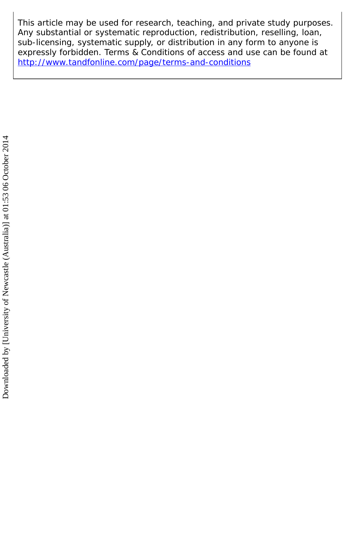This article may be used for research, teaching, and private study purposes. Any substantial or systematic reproduction, redistribution, reselling, loan, sub-licensing, systematic supply, or distribution in any form to anyone is expressly forbidden. Terms & Conditions of access and use can be found at <http://www.tandfonline.com/page/terms-and-conditions>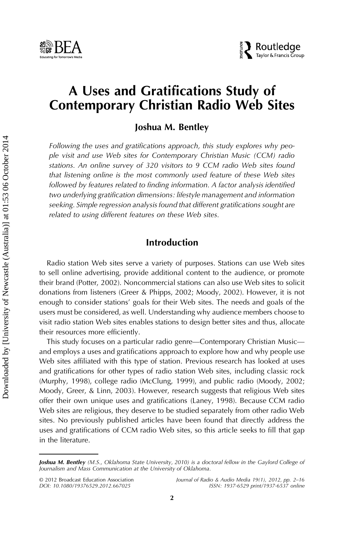



# A Uses and Gratifications Study of Contemporary Christian Radio Web Sites

# Joshua M. Bentley

Following the uses and gratifications approach, this study explores why people visit and use Web sites for Contemporary Christian Music (CCM) radio stations. An online survey of 320 visitors to 9 CCM radio Web sites found that listening online is the most commonly used feature of these Web sites followed by features related to finding information. A factor analysis identified two underlying gratification dimensions: lifestyle management and information seeking. Simple regression analysis found that different gratifications sought are related to using different features on these Web sites.

# Introduction

Radio station Web sites serve a variety of purposes. Stations can use Web sites to sell online advertising, provide additional content to the audience, or promote their brand (Potter, 2002). Noncommercial stations can also use Web sites to solicit donations from listeners (Greer & Phipps, 2002; Moody, 2002). However, it is not enough to consider stations' goals for their Web sites. The needs and goals of the users must be considered, as well. Understanding why audience members choose to visit radio station Web sites enables stations to design better sites and thus, allocate their resources more efficiently.

This study focuses on a particular radio genre—Contemporary Christian Music and employs a uses and gratifications approach to explore how and why people use Web sites affiliated with this type of station. Previous research has looked at uses and gratifications for other types of radio station Web sites, including classic rock (Murphy, 1998), college radio (McClung, 1999), and public radio (Moody, 2002; Moody, Greer, & Linn, 2003). However, research suggests that religious Web sites offer their own unique uses and gratifications (Laney, 1998). Because CCM radio Web sites are religious, they deserve to be studied separately from other radio Web sites. No previously published articles have been found that directly address the uses and gratifications of CCM radio Web sites, so this article seeks to fill that gap in the literature.

Joshua M. Bentley (M.S., Oklahoma State University, 2010) is a doctoral fellow in the Gaylord College of Journalism and Mass Communication at the University of Oklahoma.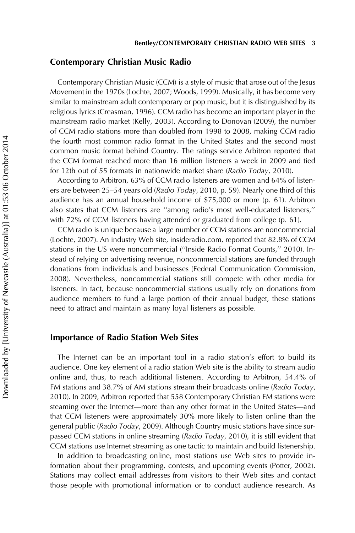## Contemporary Christian Music Radio

Contemporary Christian Music (CCM) is a style of music that arose out of the Jesus Movement in the 1970s (Lochte, 2007; Woods, 1999). Musically, it has become very similar to mainstream adult contemporary or pop music, but it is distinguished by its religious lyrics (Creasman, 1996). CCM radio has become an important player in the mainstream radio market (Kelly, 2003). According to Donovan (2009), the number of CCM radio stations more than doubled from 1998 to 2008, making CCM radio the fourth most common radio format in the United States and the second most common music format behind Country. The ratings service Arbitron reported that the CCM format reached more than 16 million listeners a week in 2009 and tied for 12th out of 55 formats in nationwide market share (Radio Today, 2010).

According to Arbitron, 63% of CCM radio listeners are women and 64% of listeners are between 25–54 years old (Radio Today, 2010, p. 59). Nearly one third of this audience has an annual household income of \$75,000 or more (p. 61). Arbitron also states that CCM listeners are ''among radio's most well-educated listeners,'' with 72% of CCM listeners having attended or graduated from college (p. 61).

CCM radio is unique because a large number of CCM stations are noncommercial (Lochte, 2007). An industry Web site, insideradio.com, reported that 82.8% of CCM stations in the US were noncommercial (''Inside Radio Format Counts,'' 2010). Instead of relying on advertising revenue, noncommercial stations are funded through donations from individuals and businesses (Federal Communication Commission, 2008). Nevertheless, noncommercial stations still compete with other media for listeners. In fact, because noncommercial stations usually rely on donations from audience members to fund a large portion of their annual budget, these stations need to attract and maintain as many loyal listeners as possible.

## Importance of Radio Station Web Sites

The Internet can be an important tool in a radio station's effort to build its audience. One key element of a radio station Web site is the ability to stream audio online and, thus, to reach additional listeners. According to Arbitron, 54.4% of FM stations and 38.7% of AM stations stream their broadcasts online (Radio Today, 2010). In 2009, Arbitron reported that 558 Contemporary Christian FM stations were steaming over the Internet—more than any other format in the United States—and that CCM listeners were approximately 30% more likely to listen online than the general public (Radio Today, 2009). Although Country music stations have since surpassed CCM stations in online streaming (Radio Today, 2010), it is still evident that CCM stations use Internet streaming as one tactic to maintain and build listenership.

In addition to broadcasting online, most stations use Web sites to provide information about their programming, contests, and upcoming events (Potter, 2002). Stations may collect email addresses from visitors to their Web sites and contact those people with promotional information or to conduct audience research. As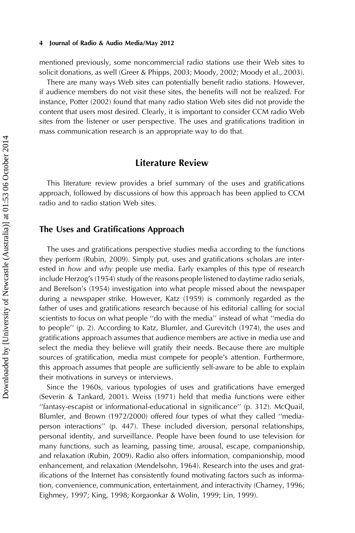mentioned previously, some noncommercial radio stations use their Web sites to solicit donations, as well (Greer & Phipps, 2003; Moody, 2002; Moody et al., 2003).

There are many ways Web sites can potentially benefit radio stations. However, if audience members do not visit these sites, the benefits will not be realized. For instance, Potter (2002) found that many radio station Web sites did not provide the content that users most desired. Clearly, it is important to consider CCM radio Web sites from the listener or user perspective. The uses and gratifications tradition in mass communication research is an appropriate way to do that.

# Literature Review

This literature review provides a brief summary of the uses and gratifications approach, followed by discussions of how this approach has been applied to CCM radio and to radio station Web sites.

## The Uses and Gratifications Approach

The uses and gratifications perspective studies media according to the functions they perform (Rubin, 2009). Simply put, uses and gratifications scholars are interested in how and why people use media. Early examples of this type of research include Herzog's (1954) study of the reasons people listened to daytime radio serials, and Berelson's (1954) investigation into what people missed about the newspaper during a newspaper strike. However, Katz (1959) is commonly regarded as the father of uses and gratifications research because of his editorial calling for social scientists to focus on what people ''do with the media'' instead of what ''media do to people'' (p. 2). According to Katz, Blumler, and Gurevitch (1974), the uses and gratifications approach assumes that audience members are active in media use and select the media they believe will gratify their needs. Because there are multiple sources of gratification, media must compete for people's attention. Furthermore, this approach assumes that people are sufficiently self-aware to be able to explain their motivations in surveys or interviews.

Since the 1960s, various typologies of uses and gratifications have emerged (Severin & Tankard, 2001). Weiss (1971) held that media functions were either ''fantasy-escapist or informational-educational in significance'' (p. 312). McQuail, Blumler, and Brown (1972/2000) offered four types of what they called ''mediaperson interactions'' (p. 447). These included diversion, personal relationships, personal identity, and surveillance. People have been found to use television for many functions, such as learning, passing time, arousal, escape, companionship, and relaxation (Rubin, 2009). Radio also offers information, companionship, mood enhancement, and relaxation (Mendelsohn, 1964). Research into the uses and gratifications of the Internet has consistently found motivating factors such as information, convenience, communication, entertainment, and interactivity (Charney, 1996; Eighmey, 1997; King, 1998; Korgaonkar & Wolin, 1999; Lin, 1999).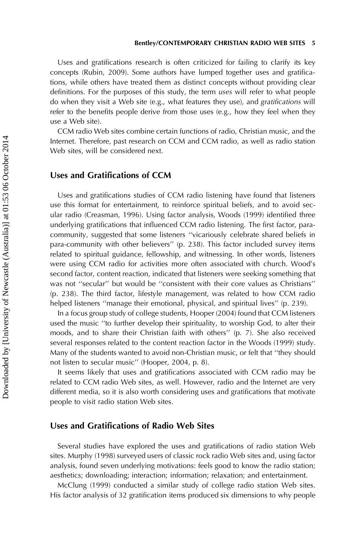#### Bentley/CONTEMPORARY CHRISTIAN RADIO WEB SITES 5

Uses and gratifications research is often criticized for failing to clarify its key concepts (Rubin, 2009). Some authors have lumped together uses and gratifications, while others have treated them as distinct concepts without providing clear definitions. For the purposes of this study, the term uses will refer to what people do when they visit a Web site (e.g., what features they use), and gratifications will refer to the benefits people derive from those uses (e.g., how they feel when they use a Web site).

CCM radio Web sites combine certain functions of radio, Christian music, and the Internet. Therefore, past research on CCM and CCM radio, as well as radio station Web sites, will be considered next.

# Uses and Gratifications of CCM

Uses and gratifications studies of CCM radio listening have found that listeners use this format for entertainment, to reinforce spiritual beliefs, and to avoid secular radio (Creasman, 1996). Using factor analysis, Woods (1999) identified three underlying gratifications that influenced CCM radio listening. The first factor, paracommunity, suggested that some listeners ''vicariously celebrate shared beliefs in para-community with other believers'' (p. 238). This factor included survey items related to spiritual guidance, fellowship, and witnessing. In other words, listeners were using CCM radio for activities more often associated with church. Wood's second factor, content reaction, indicated that listeners were seeking something that was not ''secular'' but would be ''consistent with their core values as Christians'' (p. 238). The third factor, lifestyle management, was related to how CCM radio helped listeners ''manage their emotional, physical, and spiritual lives'' (p. 239).

In a focus group study of college students, Hooper (2004) found that CCM listeners used the music ''to further develop their spirituality, to worship God, to alter their moods, and to share their Christian faith with others'' (p. 7). She also received several responses related to the content reaction factor in the Woods (1999) study. Many of the students wanted to avoid non-Christian music, or felt that ''they should not listen to secular music'' (Hooper, 2004, p. 8).

It seems likely that uses and gratifications associated with CCM radio may be related to CCM radio Web sites, as well. However, radio and the Internet are very different media, so it is also worth considering uses and gratifications that motivate people to visit radio station Web sites.

# Uses and Gratifications of Radio Web Sites

Several studies have explored the uses and gratifications of radio station Web sites. Murphy (1998) surveyed users of classic rock radio Web sites and, using factor analysis, found seven underlying motivations: feels good to know the radio station; aesthetics; downloading; interaction; information; relaxation; and entertainment.

McClung (1999) conducted a similar study of college radio station Web sites. His factor analysis of 32 gratification items produced six dimensions to why people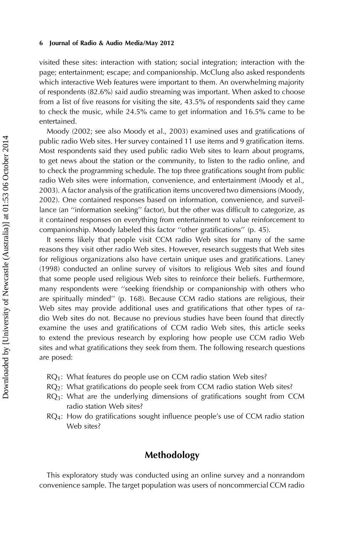visited these sites: interaction with station; social integration; interaction with the page; entertainment; escape; and companionship. McClung also asked respondents which interactive Web features were important to them. An overwhelming majority of respondents (82.6%) said audio streaming was important. When asked to choose from a list of five reasons for visiting the site, 43.5% of respondents said they came to check the music, while 24.5% came to get information and 16.5% came to be entertained.

Moody (2002; see also Moody et al., 2003) examined uses and gratifications of public radio Web sites. Her survey contained 11 use items and 9 gratification items. Most respondents said they used public radio Web sites to learn about programs, to get news about the station or the community, to listen to the radio online, and to check the programming schedule. The top three gratifications sought from public radio Web sites were information, convenience, and entertainment (Moody et al., 2003). A factor analysis of the gratification items uncovered two dimensions (Moody, 2002). One contained responses based on information, convenience, and surveillance (an ''information seeking'' factor), but the other was difficult to categorize, as it contained responses on everything from entertainment to value reinforcement to companionship. Moody labeled this factor ''other gratifications'' (p. 45).

It seems likely that people visit CCM radio Web sites for many of the same reasons they visit other radio Web sites. However, research suggests that Web sites for religious organizations also have certain unique uses and gratifications. Laney (1998) conducted an online survey of visitors to religious Web sites and found that some people used religious Web sites to reinforce their beliefs. Furthermore, many respondents were ''seeking friendship or companionship with others who are spiritually minded'' (p. 168). Because CCM radio stations are religious, their Web sites may provide additional uses and gratifications that other types of radio Web sites do not. Because no previous studies have been found that directly examine the uses and gratifications of CCM radio Web sites, this article seeks to extend the previous research by exploring how people use CCM radio Web sites and what gratifications they seek from them. The following research questions are posed:

- $RQ_1$ : What features do people use on CCM radio station Web sites?
- RQ2: What gratifications do people seek from CCM radio station Web sites?
- RQ3: What are the underlying dimensions of gratifications sought from CCM radio station Web sites?
- RQ4: How do gratifications sought influence people's use of CCM radio station Web sites?

# Methodology

This exploratory study was conducted using an online survey and a nonrandom convenience sample. The target population was users of noncommercial CCM radio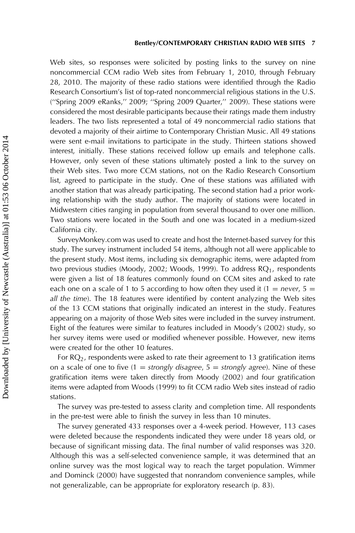#### Bentley/CONTEMPORARY CHRISTIAN RADIO WEB SITES 7

Web sites, so responses were solicited by posting links to the survey on nine noncommercial CCM radio Web sites from February 1, 2010, through February 28, 2010. The majority of these radio stations were identified through the Radio Research Consortium's list of top-rated noncommercial religious stations in the U.S. (''Spring 2009 eRanks,'' 2009; ''Spring 2009 Quarter,'' 2009). These stations were considered the most desirable participants because their ratings made them industry leaders. The two lists represented a total of 49 noncommercial radio stations that devoted a majority of their airtime to Contemporary Christian Music. All 49 stations were sent e-mail invitations to participate in the study. Thirteen stations showed interest, initially. These stations received follow up emails and telephone calls. However, only seven of these stations ultimately posted a link to the survey on their Web sites. Two more CCM stations, not on the Radio Research Consortium list, agreed to participate in the study. One of these stations was affiliated with another station that was already participating. The second station had a prior working relationship with the study author. The majority of stations were located in Midwestern cities ranging in population from several thousand to over one million. Two stations were located in the South and one was located in a medium-sized California city.

SurveyMonkey.com was used to create and host the Internet-based survey for this study. The survey instrument included 54 items, although not all were applicable to the present study. Most items, including six demographic items, were adapted from two previous studies (Moody, 2002; Woods, 1999). To address  $RQ_1$ , respondents were given a list of 18 features commonly found on CCM sites and asked to rate each one on a scale of 1 to 5 according to how often they used it (1 = never, 5 = all the time). The 18 features were identified by content analyzing the Web sites of the 13 CCM stations that originally indicated an interest in the study. Features appearing on a majority of those Web sites were included in the survey instrument. Eight of the features were similar to features included in Moody's (2002) study, so her survey items were used or modified whenever possible. However, new items were created for the other 10 features.

For  $RQ<sub>2</sub>$ , respondents were asked to rate their agreement to 13 gratification items on a scale of one to five  $(1 = strongly disagree, 5 = strongly agree)$ . Nine of these gratification items were taken directly from Moody (2002) and four gratification items were adapted from Woods (1999) to fit CCM radio Web sites instead of radio stations.

The survey was pre-tested to assess clarity and completion time. All respondents in the pre-test were able to finish the survey in less than 10 minutes.

The survey generated 433 responses over a 4-week period. However, 113 cases were deleted because the respondents indicated they were under 18 years old, or because of significant missing data. The final number of valid responses was 320. Although this was a self-selected convenience sample, it was determined that an online survey was the most logical way to reach the target population. Wimmer and Dominck (2000) have suggested that nonrandom convenience samples, while not generalizable, can be appropriate for exploratory research (p. 83).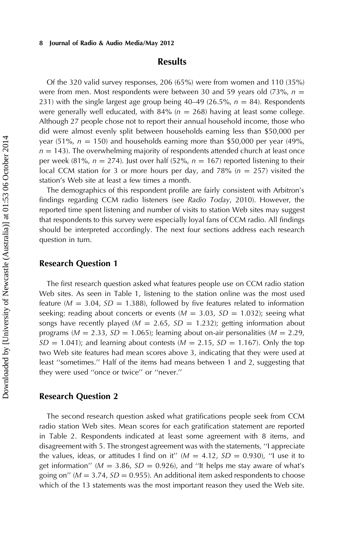# Results

Of the 320 valid survey responses, 206 (65%) were from women and 110 (35%) were from men. Most respondents were between 30 and 59 years old (73%,  $n =$ 231) with the single largest age group being 40–49 (26.5%,  $n = 84$ ). Respondents were generally well educated, with 84% ( $n = 268$ ) having at least some college. Although 27 people chose not to report their annual household income, those who did were almost evenly split between households earning less than \$50,000 per year (51%,  $n = 150$ ) and households earning more than \$50,000 per year (49%,  $n = 143$ ). The overwhelming majority of respondents attended church at least once per week (81%,  $n = 274$ ). Just over half (52%,  $n = 167$ ) reported listening to their local CCM station for 3 or more hours per day, and 78% ( $n = 257$ ) visited the station's Web site at least a few times a month.

The demographics of this respondent profile are fairly consistent with Arbitron's findings regarding CCM radio listeners (see Radio Today, 2010). However, the reported time spent listening and number of visits to station Web sites may suggest that respondents to this survey were especially loyal fans of CCM radio. All findings should be interpreted accordingly. The next four sections address each research question in turn.

### Research Question 1

The first research question asked what features people use on CCM radio station Web sites. As seen in Table 1, listening to the station online was the most used feature ( $M = 3.04$ ,  $SD = 1.388$ ), followed by five features related to information seeking: reading about concerts or events ( $M = 3.03$ ,  $SD = 1.032$ ); seeing what songs have recently played ( $M = 2.65$ ,  $SD = 1.232$ ); getting information about programs ( $M = 2.33$ ,  $SD = 1.065$ ); learning about on-air personalities ( $M = 2.29$ ,  $SD = 1.041$ ; and learning about contests ( $M = 2.15$ ,  $SD = 1.167$ ). Only the top two Web site features had mean scores above 3, indicating that they were used at least ''sometimes.'' Half of the items had means between 1 and 2, suggesting that they were used ''once or twice'' or ''never.''

#### Research Question 2

The second research question asked what gratifications people seek from CCM radio station Web sites. Mean scores for each gratification statement are reported in Table 2. Respondents indicated at least some agreement with 8 items, and disagreement with 5. The strongest agreement was with the statements, ''I appreciate the values, ideas, or attitudes I find on it''  $(M = 4.12, SD = 0.930)$ , "I use it to get information'' ( $M = 3.86$ ,  $SD = 0.926$ ), and "It helps me stay aware of what's going on'' ( $M = 3.74$ ,  $SD = 0.955$ ). An additional item asked respondents to choose which of the 13 statements was the most important reason they used the Web site.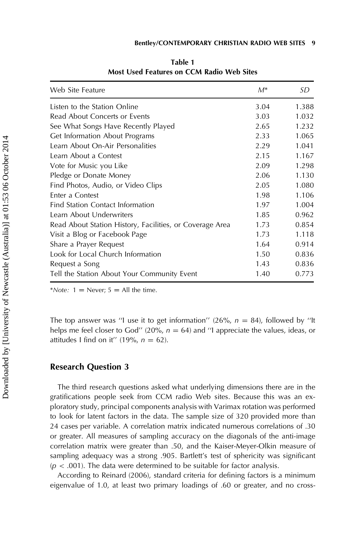| Web Site Feature                                         | $M^*$ | SD    |
|----------------------------------------------------------|-------|-------|
| Listen to the Station Online                             | 3.04  | 1.388 |
| Read About Concerts or Events                            | 3.03  | 1.032 |
| See What Songs Have Recently Played                      | 2.65  | 1.232 |
| Get Information About Programs                           | 2.33  | 1.065 |
| Learn About On-Air Personalities                         | 2.29  | 1.041 |
| Learn About a Contest                                    | 2.15  | 1.167 |
| Vote for Music you Like                                  | 2.09  | 1.298 |
| Pledge or Donate Money                                   | 2.06  | 1.130 |
| Find Photos, Audio, or Video Clips                       | 2.05  | 1.080 |
| Enter a Contest                                          | 1.98  | 1.106 |
| <b>Find Station Contact Information</b>                  | 1.97  | 1.004 |
| Learn About Underwriters                                 | 1.85  | 0.962 |
| Read About Station History, Facilities, or Coverage Area | 1.73  | 0.854 |
| Visit a Blog or Facebook Page                            | 1.73  | 1.118 |
| Share a Prayer Request                                   | 1.64  | 0.914 |
| Look for Local Church Information                        | 1.50  | 0.836 |
| Request a Song                                           | 1.43  | 0.836 |
| Tell the Station About Your Community Event              | 1.40  | 0.773 |

Table 1 Most Used Features on CCM Radio Web Sites

\*Note:  $1 =$  Never;  $5 =$  All the time.

The top answer was "I use it to get information" (26%,  $n = 84$ ), followed by "It helps me feel closer to God" (20%,  $n = 64$ ) and "I appreciate the values, ideas, or attitudes I find on it" (19%,  $n = 62$ ).

# Research Question 3

The third research questions asked what underlying dimensions there are in the gratifications people seek from CCM radio Web sites. Because this was an exploratory study, principal components analysis with Varimax rotation was performed to look for latent factors in the data. The sample size of 320 provided more than 24 cases per variable. A correlation matrix indicated numerous correlations of .30 or greater. All measures of sampling accuracy on the diagonals of the anti-image correlation matrix were greater than .50, and the Kaiser-Meyer-Olkin measure of sampling adequacy was a strong .905. Bartlett's test of sphericity was significant  $(p < .001)$ . The data were determined to be suitable for factor analysis.

According to Reinard (2006), standard criteria for defining factors is a minimum eigenvalue of 1.0, at least two primary loadings of .60 or greater, and no cross-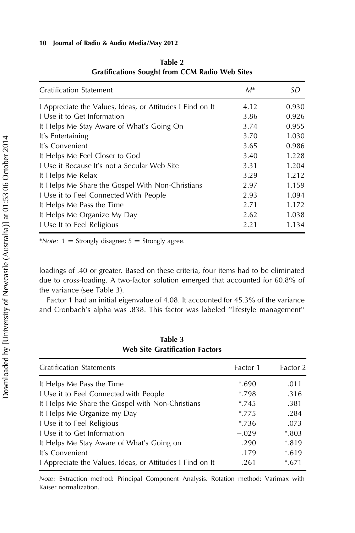| <b>Gratification Statement</b>                            | $M^*$ | SD    |
|-----------------------------------------------------------|-------|-------|
| I Appreciate the Values, Ideas, or Attitudes I Find on It | 4.12  | 0.930 |
| I Use it to Get Information                               | 3.86  | 0.926 |
| It Helps Me Stay Aware of What's Going On                 | 3.74  | 0.955 |
| It's Entertaining                                         | 3.70  | 1.030 |
| It's Convenient                                           | 3.65  | 0.986 |
| It Helps Me Feel Closer to God                            | 3.40  | 1.228 |
| I Use it Because It's not a Secular Web Site              | 3.31  | 1.204 |
| It Helps Me Relax                                         | 3.29  | 1.212 |
| It Helps Me Share the Gospel With Non-Christians          | 2.97  | 1.159 |
| I Use it to Feel Connected With People                    | 2.93  | 1.094 |
| It Helps Me Pass the Time                                 | 2.71  | 1.172 |
| It Helps Me Organize My Day                               | 2.62  | 1.038 |
| I Use It to Feel Religious                                | 2.21  | 1.134 |

Table 2 Gratifications Sought from CCM Radio Web Sites

\*Note:  $1 =$  Strongly disagree;  $5 =$  Strongly agree.

loadings of .40 or greater. Based on these criteria, four items had to be eliminated due to cross-loading. A two-factor solution emerged that accounted for 60.8% of the variance (see Table 3).

Factor 1 had an initial eigenvalue of 4.08. It accounted for 45.3% of the variance and Cronbach's alpha was .838. This factor was labeled ''lifestyle management''

| <b>Gratification Statements</b>                           | Factor 1 | Factor 2 |  |
|-----------------------------------------------------------|----------|----------|--|
| It Helps Me Pass the Time                                 | *.690    | .011     |  |
| I Use it to Feel Connected with People                    | *.798    | .316     |  |
| It Helps Me Share the Gospel with Non-Christians          | $*745$   | .381     |  |
| It Helps Me Organize my Day                               | $*775$   | .284     |  |
| I Use it to Feel Religious                                | $*$ .736 | .073     |  |
| I Use it to Get Information                               | $-.029$  | *.803    |  |
| It Helps Me Stay Aware of What's Going on                 | .290     | *.819    |  |
| It's Convenient                                           | .179     | $*619$   |  |
| I Appreciate the Values, Ideas, or Attitudes I Find on It | .261     | $*671$   |  |
|                                                           |          |          |  |

Table 3 Web Site Gratification Factors

Note: Extraction method: Principal Component Analysis. Rotation method: Varimax with Kaiser normalization.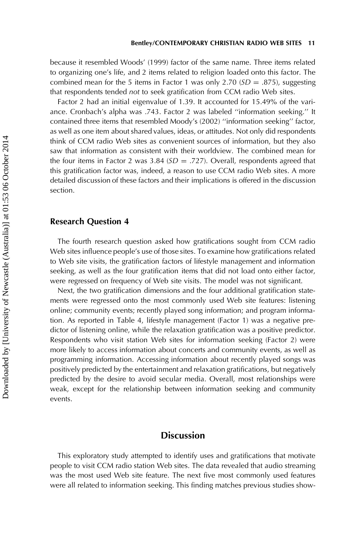because it resembled Woods' (1999) factor of the same name. Three items related to organizing one's life, and 2 items related to religion loaded onto this factor. The combined mean for the 5 items in Factor 1 was only 2.70 ( $SD = .875$ ), suggesting that respondents tended not to seek gratification from CCM radio Web sites.

Factor 2 had an initial eigenvalue of 1.39. It accounted for 15.49% of the variance. Cronbach's alpha was .743. Factor 2 was labeled ''information seeking.'' It contained three items that resembled Moody's (2002) ''information seeking'' factor, as well as one item about shared values, ideas, or attitudes. Not only did respondents think of CCM radio Web sites as convenient sources of information, but they also saw that information as consistent with their worldview. The combined mean for the four items in Factor 2 was 3.84 ( $SD = .727$ ). Overall, respondents agreed that this gratification factor was, indeed, a reason to use CCM radio Web sites. A more detailed discussion of these factors and their implications is offered in the discussion section.

## Research Question 4

The fourth research question asked how gratifications sought from CCM radio Web sites influence people's use of those sites. To examine how gratifications related to Web site visits, the gratification factors of lifestyle management and information seeking, as well as the four gratification items that did not load onto either factor, were regressed on frequency of Web site visits. The model was not significant.

Next, the two gratification dimensions and the four additional gratification statements were regressed onto the most commonly used Web site features: listening online; community events; recently played song information; and program information. As reported in Table 4, lifestyle management (Factor 1) was a negative predictor of listening online, while the relaxation gratification was a positive predictor. Respondents who visit station Web sites for information seeking (Factor 2) were more likely to access information about concerts and community events, as well as programming information. Accessing information about recently played songs was positively predicted by the entertainment and relaxation gratifications, but negatively predicted by the desire to avoid secular media. Overall, most relationships were weak, except for the relationship between information seeking and community events.

# **Discussion**

This exploratory study attempted to identify uses and gratifications that motivate people to visit CCM radio station Web sites. The data revealed that audio streaming was the most used Web site feature. The next five most commonly used features were all related to information seeking. This finding matches previous studies show-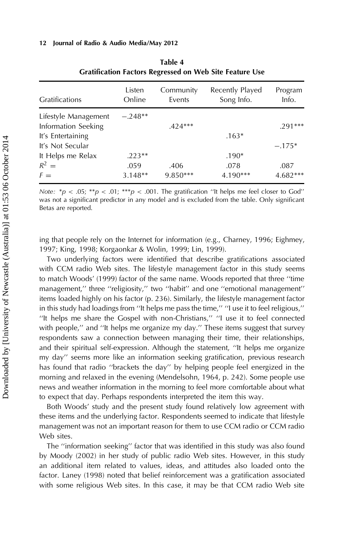| Gradulcation ractors Regressed on ved site readire Ose |                  |                     |                               |                  |  |
|--------------------------------------------------------|------------------|---------------------|-------------------------------|------------------|--|
| <b>Gratifications</b>                                  | Listen<br>Online | Community<br>Events | Recently Played<br>Song Info. | Program<br>Info. |  |
| Lifestyle Management                                   | $-.248**$        |                     |                               |                  |  |
| Information Seeking                                    |                  | $.424***$           |                               | $.291***$        |  |
| It's Entertaining                                      |                  |                     | $.163*$                       |                  |  |
| It's Not Secular                                       |                  |                     |                               | $-.175*$         |  |
| It Helps me Relax                                      | $.223**$         |                     | $.190*$                       |                  |  |
| $R^2 =$                                                | .059             | .406                | .078                          | .087             |  |
| $F =$                                                  | $3.148**$        | 9.850***            | 4.190***                      | $4.682***$       |  |

| Table 4                                                        |
|----------------------------------------------------------------|
| <b>Gratification Factors Regressed on Web Site Feature Use</b> |

Note: \*p < .05; \*\*p < .01; \*\*\*p < .001. The gratification "It helps me feel closer to God" was not a significant predictor in any model and is excluded from the table. Only significant Betas are reported.

ing that people rely on the Internet for information (e.g., Charney, 1996; Eighmey, 1997; King, 1998; Korgaonkar & Wolin, 1999; Lin, 1999).

Two underlying factors were identified that describe gratifications associated with CCM radio Web sites. The lifestyle management factor in this study seems to match Woods' (1999) factor of the same name. Woods reported that three ''time management,'' three ''religiosity,'' two ''habit'' and one ''emotional management'' items loaded highly on his factor (p. 236). Similarly, the lifestyle management factor in this study had loadings from "It helps me pass the time," "I use it to feel religious," ''It helps me share the Gospel with non-Christians,'' ''I use it to feel connected with people,'' and ''It helps me organize my day.'' These items suggest that survey respondents saw a connection between managing their time, their relationships, and their spiritual self-expression. Although the statement, ''It helps me organize my day'' seems more like an information seeking gratification, previous research has found that radio "brackets the day" by helping people feel energized in the morning and relaxed in the evening (Mendelsohn, 1964, p. 242). Some people use news and weather information in the morning to feel more comfortable about what to expect that day. Perhaps respondents interpreted the item this way.

Both Woods' study and the present study found relatively low agreement with these items and the underlying factor. Respondents seemed to indicate that lifestyle management was not an important reason for them to use CCM radio or CCM radio Web sites.

The ''information seeking'' factor that was identified in this study was also found by Moody (2002) in her study of public radio Web sites. However, in this study an additional item related to values, ideas, and attitudes also loaded onto the factor. Laney (1998) noted that belief reinforcement was a gratification associated with some religious Web sites. In this case, it may be that CCM radio Web site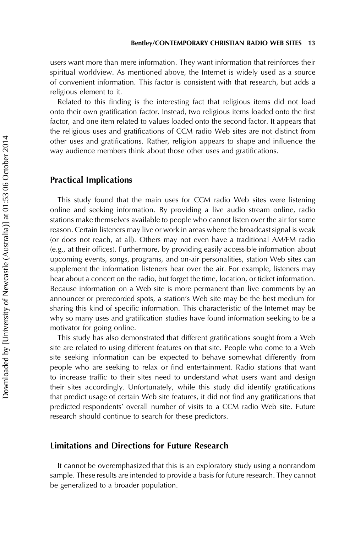users want more than mere information. They want information that reinforces their spiritual worldview. As mentioned above, the Internet is widely used as a source of convenient information. This factor is consistent with that research, but adds a religious element to it.

Related to this finding is the interesting fact that religious items did not load onto their own gratification factor. Instead, two religious items loaded onto the first factor, and one item related to values loaded onto the second factor. It appears that the religious uses and gratifications of CCM radio Web sites are not distinct from other uses and gratifications. Rather, religion appears to shape and influence the way audience members think about those other uses and gratifications.

## Practical Implications

This study found that the main uses for CCM radio Web sites were listening online and seeking information. By providing a live audio stream online, radio stations make themselves available to people who cannot listen over the air for some reason. Certain listeners may live or work in areas where the broadcast signal is weak (or does not reach, at all). Others may not even have a traditional AM/FM radio (e.g., at their offices). Furthermore, by providing easily accessible information about upcoming events, songs, programs, and on-air personalities, station Web sites can supplement the information listeners hear over the air. For example, listeners may hear about a concert on the radio, but forget the time, location, or ticket information. Because information on a Web site is more permanent than live comments by an announcer or prerecorded spots, a station's Web site may be the best medium for sharing this kind of specific information. This characteristic of the Internet may be why so many uses and gratification studies have found information seeking to be a motivator for going online.

This study has also demonstrated that different gratifications sought from a Web site are related to using different features on that site. People who come to a Web site seeking information can be expected to behave somewhat differently from people who are seeking to relax or find entertainment. Radio stations that want to increase traffic to their sites need to understand what users want and design their sites accordingly. Unfortunately, while this study did identify gratifications that predict usage of certain Web site features, it did not find any gratifications that predicted respondents' overall number of visits to a CCM radio Web site. Future research should continue to search for these predictors.

# Limitations and Directions for Future Research

It cannot be overemphasized that this is an exploratory study using a nonrandom sample. These results are intended to provide a basis for future research. They cannot be generalized to a broader population.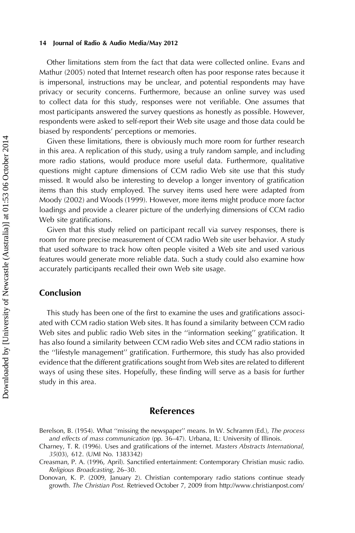Other limitations stem from the fact that data were collected online. Evans and Mathur (2005) noted that Internet research often has poor response rates because it is impersonal, instructions may be unclear, and potential respondents may have privacy or security concerns. Furthermore, because an online survey was used to collect data for this study, responses were not verifiable. One assumes that most participants answered the survey questions as honestly as possible. However, respondents were asked to self-report their Web site usage and those data could be biased by respondents' perceptions or memories.

Given these limitations, there is obviously much more room for further research in this area. A replication of this study, using a truly random sample, and including more radio stations, would produce more useful data. Furthermore, qualitative questions might capture dimensions of CCM radio Web site use that this study missed. It would also be interesting to develop a longer inventory of gratification items than this study employed. The survey items used here were adapted from Moody (2002) and Woods (1999). However, more items might produce more factor loadings and provide a clearer picture of the underlying dimensions of CCM radio Web site gratifications.

Given that this study relied on participant recall via survey responses, there is room for more precise measurement of CCM radio Web site user behavior. A study that used software to track how often people visited a Web site and used various features would generate more reliable data. Such a study could also examine how accurately participants recalled their own Web site usage.

# Conclusion

This study has been one of the first to examine the uses and gratifications associated with CCM radio station Web sites. It has found a similarity between CCM radio Web sites and public radio Web sites in the ''information seeking'' gratification. It has also found a similarity between CCM radio Web sites and CCM radio stations in the ''lifestyle management'' gratification. Furthermore, this study has also provided evidence that the different gratifications sought from Web sites are related to different ways of using these sites. Hopefully, these finding will serve as a basis for further study in this area.

# References

- Berelson, B. (1954). What "missing the newspaper" means. In W. Schramm (Ed.), The process and effects of mass communication (pp. 36–47). Urbana, IL: University of Illinois.
- Charney, T. R. (1996). Uses and gratifications of the internet. Masters Abstracts International, 35(03), 612. (UMI No. 1383342)
- Creasman, P. A. (1996, April). Sanctified entertainment: Contemporary Christian music radio. Religious Broadcasting, 26–30.
- Donovan, K. P. (2009, January 2). Christian contemporary radio stations continue steady growth. The Christian Post. Retrieved October 7, 2009 from http://www.christianpost.com/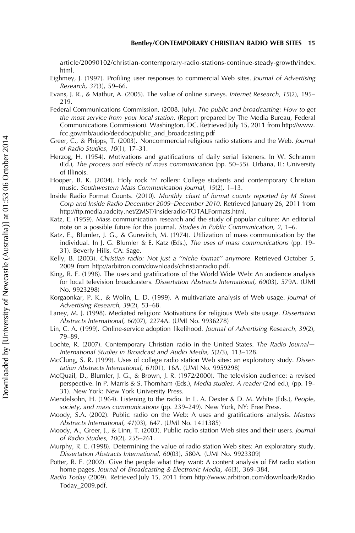article/20090102/christian-contemporary-radio-stations-continue-steady-growth/index. html.

- Eighmey, J. (1997). Profiling user responses to commercial Web sites. Journal of Advertising Research, 37(3), 59–66.
- Evans, J. R., & Mathur, A. (2005). The value of online surveys. Internet Research, 15(2), 195– 219.
- Federal Communications Commission. (2008, July). The public and broadcasting: How to get the most service from your local station. (Report prepared by The Media Bureau, Federal Communications Commission). Washington, DC. Retrieved July 15, 2011 from http://www. fcc.gov/mb/audio/decdoc/public\_and\_broadcasting.pdf
- Greer, C., & Phipps, T. (2003). Noncommercial religious radio stations and the Web. Journal of Radio Studies, 10(1), 17–31.
- Herzog, H. (1954). Motivations and gratifications of daily serial listeners. In W. Schramm (Ed.), The process and effects of mass communication (pp. 50–55). Urbana, IL: University of Illinois.
- Hooper, B. K. (2004). Holy rock 'n' rollers: College students and contemporary Christian music. Southwestern Mass Communication Journal, 19(2), 1–13.
- Inside Radio Format Counts. (2010). Monthly chart of format counts reported by M Street Corp and Inside Radio December 2009–December 2010. Retrieved January 26, 2011 from http://ftp.media.radcity.net/ZMST/insideradio/TOTALFormats.html.
- Katz, E. (1959). Mass communication research and the study of popular culture: An editorial note on a possible future for this journal. Studies in Public Communication, 2, 1–6.
- Katz, E., Blumler, J. G., & Gurevitch, M. (1974). Utilization of mass communication by the individual. In J. G. Blumler & E. Katz (Eds.), The uses of mass communications (pp. 19– 31). Beverly Hills, CA: Sage.
- Kelly, B. (2003). Christian radio: Not just a ''niche format'' anymore. Retrieved October 5, 2009 from http://arbitron.com/downloads/christianradio.pdf.
- King, R. E. (1998). The uses and gratifications of the World Wide Web: An audience analysis for local television broadcasters. Dissertation Abstracts International, 60(03), 579A. (UMI No. 9923298)
- Korgaonkar, P. K., & Wolin, L. D. (1999). A multivariate analysis of Web usage. Journal of Advertising Research, 39(2), 53–68.
- Laney, M. J. (1998). Mediated religion: Motivations for religious Web site usage. Dissertation Abstracts International, 60(07), 2274A. (UMI No. 9936278)
- Lin, C. A. (1999). Online-service adoption likelihood. Journal of Advertising Research, 39(2), 79–89.
- Lochte, R. (2007). Contemporary Christian radio in the United States. The Radio Journal-International Studies in Broadcast and Audio Media, 5(2/3), 113–128.
- McClung, S. R. (1999). Uses of college radio station Web sites: an exploratory study. Dissertation Abstracts International, 61(01), 16A. (UMI No. 9959298)
- McQuail, D., Blumler, J. G., & Brown, J. R. (1972/2000). The television audience: a revised perspective. In P. Marris & S. Thornham (Eds.), Media studies: A reader (2nd ed.), (pp. 19– 31). New York: New York University Press.
- Mendelsohn, H. (1964). Listening to the radio. In L. A. Dexter & D. M. White (Eds.), People, society, and mass communications (pp. 239–249). New York, NY: Free Press.
- Moody, S.A. (2002). Public radio on the Web: A uses and gratifications analysis. Masters Abstracts International, 41(03), 647. (UMI No. 1411385)
- Moody, A., Greer, J., & Linn, T. (2003). Public radio station Web sites and their users. Journal of Radio Studies, 10(2), 255–261.
- Murphy, R. E. (1998). Determining the value of radio station Web sites: An exploratory study. Dissertation Abstracts International, 60(03), 580A. (UMI No. 9923309)
- Potter, R. F. (2002). Give the people what they want: A content analysis of FM radio station home pages. Journal of Broadcasting & Electronic Media, 46(3), 369–384.
- Radio Today (2009). Retrieved July 15, 2011 from http://www.arbitron.com/downloads/Radio Today\_2009.pdf.